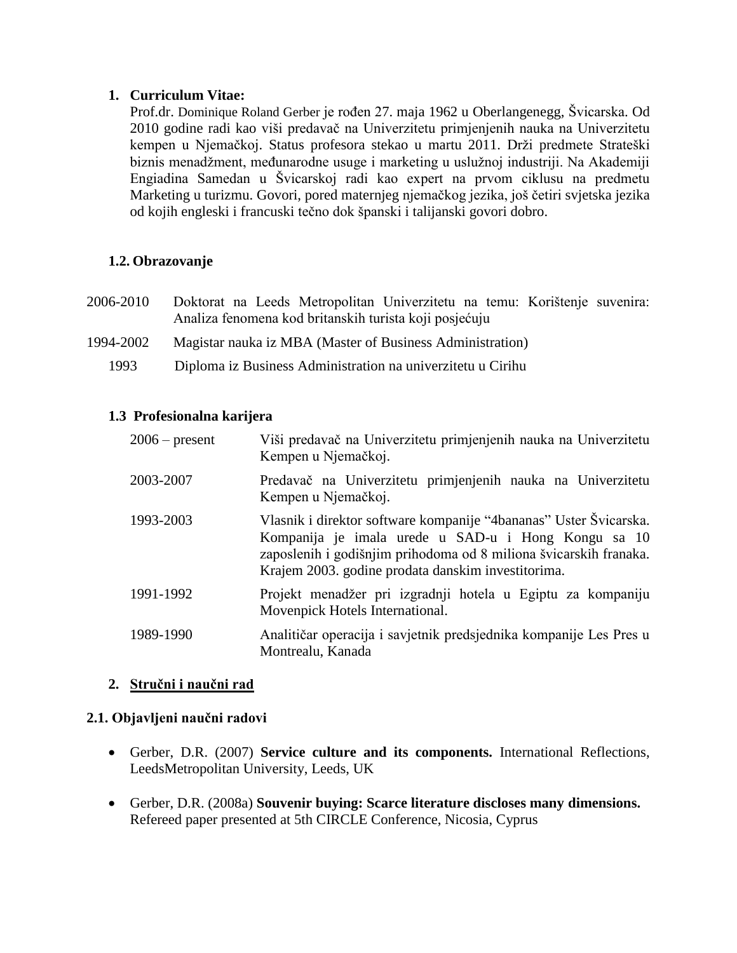# **1. Curriculum Vitae:**

Prof.dr. Dominique Roland Gerber je rođen 27. maja 1962 u Oberlangenegg, Švicarska. Od 2010 godine radi kao viši predavač na Univerzitetu primjenjenih nauka na Univerzitetu kempen u Njemačkoj. Status profesora stekao u martu 2011. Drži predmete Strateški biznis menadžment, međunarodne usuge i marketing u uslužnoj industriji. Na Akademiji Engiadina Samedan u Švicarskoj radi kao expert na prvom ciklusu na predmetu Marketing u turizmu. Govori, pored maternjeg njemačkog jezika, još četiri svjetska jezika od kojih engleski i francuski tečno dok španski i talijanski govori dobro.

## **1.2. Obrazovanje**

- 2006-2010 Doktorat na Leeds Metropolitan Univerzitetu na temu: Korištenje suvenira: Analiza fenomena kod britanskih turista koji posjećuju
- 1994-2002 Magistar nauka iz MBA (Master of Business Administration)
	- 1993 Diploma iz Business Administration na univerzitetu u Cirihu

### **1.3 Profesionalna karijera**

| $2006$ – present | Viši predavač na Univerzitetu primjenjenih nauka na Univerzitetu<br>Kempen u Njemačkoj.                                                                                                                                                             |
|------------------|-----------------------------------------------------------------------------------------------------------------------------------------------------------------------------------------------------------------------------------------------------|
| 2003-2007        | Predavač na Univerzitetu primjenjenih nauka na Univerzitetu<br>Kempen u Njemačkoj.                                                                                                                                                                  |
| 1993-2003        | Vlasnik i direktor software kompanije "4bananas" Uster Švicarska.<br>Kompanija je imala urede u SAD-u i Hong Kongu sa 10<br>zaposlenih i godišnjim prihodoma od 8 miliona švicarskih franaka.<br>Krajem 2003. godine prodata danskim investitorima. |
| 1991-1992        | Projekt menadžer pri izgradnji hotela u Egiptu za kompaniju<br>Movenpick Hotels International.                                                                                                                                                      |
| 1989-1990        | Analitičar operacija i savjetnik predsjednika kompanije Les Pres u<br>Montrealu, Kanada                                                                                                                                                             |

# **2. Stručni i naučni rad**

### **2.1. Objavljeni naučni radovi**

- Gerber, D.R. (2007) **Service culture and its components.** International Reflections, LeedsMetropolitan University, Leeds, UK
- Gerber, D.R. (2008a) **Souvenir buying: Scarce literature discloses many dimensions.** Refereed paper presented at 5th CIRCLE Conference, Nicosia, Cyprus